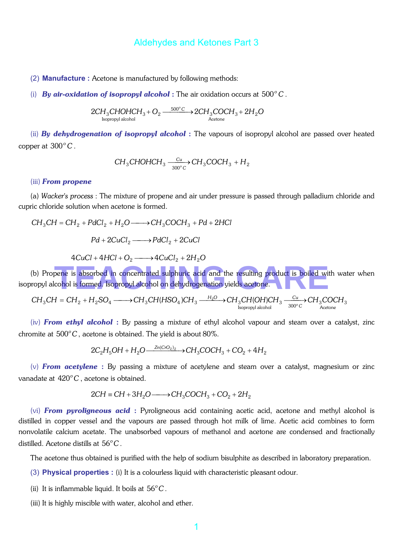(2) **Manufacture :** Acetone is manufactured by following methods:

(i) **By air-oxidation of isopropyl alcohol**: The air oxidation occurs at  $500^{\circ}$ C.

$$
2CH_3CHOHCH_3 + O_2 \xrightarrow{\phantom{0}500^{\circ}C\phantom{0}} 2CH_3COCH_3 + 2H_2O
$$
  
Isopropyl alcohol

(ii) *By dehydrogenation of isopropyl alcohol* : The vapours of isopropyl alcohol are passed over heated copper at  $300^{\circ}$ C.

$$
CH_3CHOHCH_3 \xrightarrow[300^\circ C]{Cu} CH_3COCH_3 + H_2
$$

#### (iii) *From propene*

(a) *Wacker's process* : The mixture of propene and air under pressure is passed through palladium chloride and cupric chloride solution when acetone is formed.

$$
CH_3CH = CH_2 + PdCl_2 + H_2O \longrightarrow CH_3COCH_3 + Pd + 2HCl
$$

$$
Pd + 2CuCl_2 \longrightarrow PdCl_2 + 2CuCl
$$

 $4CuCl + 4HCl + O<sub>2</sub> \longrightarrow 4CuCl<sub>2</sub> + 2H<sub>2</sub>O$ 

(b) Propene is absorbed in concentrated sulphuric acid and the resulting product is boiled with water when isopropyl alcohol is formed. Isopropyl alcohol on dehydrogenation yields acetone. pene is absorbed in concentrated sulphuric acid and the resulting product is boiled with<br>cohol is formed, Isopropyl alcohol on dehydrogenation yields acetone.

$$
CH_3CH=CH_2+H_2SO_4 \xrightarrow{\hspace*{1.5cm}} CH_3CH(HSO_4)CH_3 \xrightarrow{\hspace*{1.5cm}} H_2O \xrightarrow{\hspace*{1.5cm}} CH_3CH(OH)CH_3 \xrightarrow{\hspace*{1.5cm}} {^{Cu}_{300^{\circ}C}}CH_3COCH_3 \xrightarrow{\hspace*{1.5cm}} CH_3COCH_3
$$

(iv) *From ethyl alcohol* : By passing a mixture of ethyl alcohol vapour and steam over a catalyst, zinc chromite at  $500^{\circ}$ C, acetone is obtained. The yield is about 80%.

$$
2C_2H_5OH + H_2O \xrightarrow{\text{Zn(CrO}_2)_2} \text{OCH}_3 \cdot \text{COCH}_3 + \text{CO}_2 + 4H_2
$$

(v) *From acetylene* : By passing a mixture of acetylene and steam over a catalyst, magnesium or zinc vanadate at 420°C, acetone is obtained.

$$
2CH \equiv CH + 3H_2O \longrightarrow CH_3COCH_3 + CO_2 + 2H_2
$$

(vi) *From pyroligneous acid* : Pyroligneous acid containing acetic acid, acetone and methyl alcohol is distilled in copper vessel and the vapours are passed through hot milk of lime. Acetic acid combines to form nonvolatile calcium acetate. The unabsorbed vapours of methanol and acetone are condensed and fractionally distilled. Acetone distills at 56°C.

The acetone thus obtained is purified with the help of sodium bisulphite as described in laboratory preparation.

- (3) **Physical properties :** (i) It is a colourless liquid with characteristic pleasant odour.
- (ii) It is inflammable liquid. It boils at  $56^{\circ}$ C.
- (iii) It is highly miscible with water, alcohol and ether.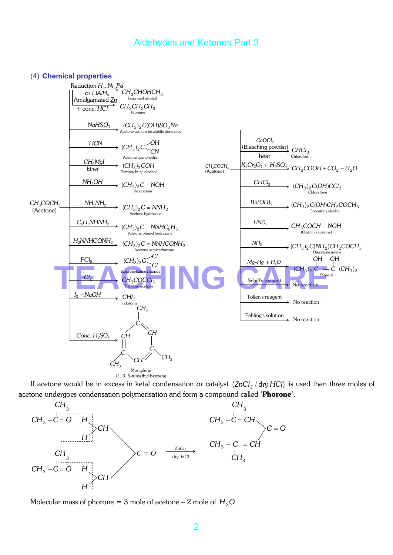#### (4) **Chemical properties**



If acetone would be in excess in ketal condensation or catalyst (ZnCl<sub>2</sub> / dry HCl) is used then three moles of acetone undergoes condensation polymerisation and form a compound called 'Phorone'.



Molecular mass of phorone = 3 mole of acetone  $-2$  mole of  $H<sub>2</sub>O$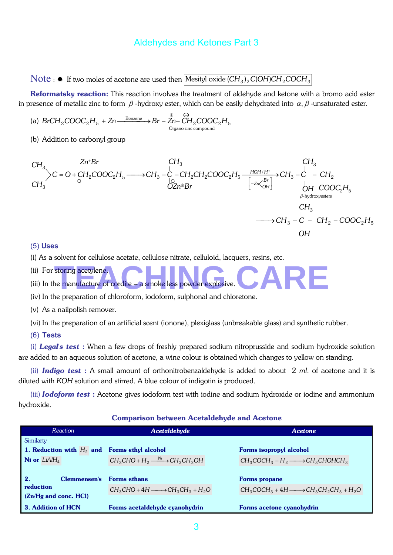Note :  $\text{#}$  If two moles of acetone are used then Mesityl oxide  $(CH_3)_2 C(OH)CH_2COCH_3$ 

Reformatsky reaction: This reaction involves the treatment of aldehyde and ketone with a bromo acid ester in presence of metallic zinc to form  $\beta$  -hydroxy ester, which can be easily dehydrated into  $\alpha, \beta$  -unsaturated ester.

(a) 
$$
BrCH_2COOC_2H_5 + Zn \xrightarrow{\text{Benzene}} Br - Zn - \xrightarrow{^\oplus}_{\text{Organo zinc compound}} COOC_2H_5
$$

(b) Addition to carbonyl group

$$
CH_3
$$
\n
$$
C H_3
$$
\n
$$
C H_3
$$
\n
$$
C H_3
$$
\n
$$
C H_3
$$
\n
$$
C H_3
$$
\n
$$
C H_3
$$
\n
$$
C H_3
$$
\n
$$
C H_3
$$
\n
$$
C H_3
$$
\n
$$
C H_3
$$
\n
$$
C H_3
$$
\n
$$
C H_3
$$
\n
$$
C H_3
$$
\n
$$
C H_3
$$
\n
$$
C H_3
$$
\n
$$
C H_3
$$
\n
$$
C H_3
$$
\n
$$
C H_3
$$
\n
$$
C H_3
$$
\n
$$
C H_3
$$
\n
$$
C H_3
$$
\n
$$
C H_3
$$
\n
$$
C H_3
$$
\n
$$
C H_3
$$
\n
$$
C H_3
$$
\n
$$
C H_3
$$
\n
$$
C H_3
$$
\n
$$
C H_3
$$
\n
$$
C H_3
$$
\n
$$
C H_3
$$
\n
$$
C H_3
$$
\n
$$
C H_3
$$
\n
$$
C H_3
$$
\n
$$
C H_3
$$
\n
$$
C H_3
$$
\n
$$
C H_3
$$
\n
$$
C H_3
$$
\n
$$
C H_3
$$
\n
$$
C H_3
$$
\n
$$
C H_3
$$
\n
$$
C H_3
$$
\n
$$
C H_3
$$
\n
$$
C H_3
$$
\n
$$
C H_3
$$
\n
$$
C H_3
$$
\n
$$
C H_3
$$
\n
$$
C H_3
$$
\n
$$
C H_3
$$
\n
$$
C H_3
$$
\n
$$
C H_3
$$
\n
$$
C H_3
$$
\n
$$
C H_3
$$
\n
$$
C H_3
$$

#### (5) **Uses**

(i) As a solvent for cellulose acetate, cellulose nitrate, celluloid, lacquers, resins, etc.

(ii) For storing acetylene.

(iii) In the manufacture of cordite – a smoke less powder explosive. storing acetylene.<br>ne manufacture of cordite – a smoke less powder explosive.<br>Notes that the stories is a later which and additional with the stories of the stories of the stories of the stories of the stories of the stori

(iv) In the preparation of chloroform, iodoform, sulphonal and chloretone.

(v) As a nailpolish remover.

(vi) In the preparation of an artificial scent (ionone), plexiglass (unbreakable glass) and synthetic rubber.

(6) **Tests** 

(i) *Legal's test* : When a few drops of freshly prepared sodium nitroprusside and sodium hydroxide solution are added to an aqueous solution of acetone, a wine colour is obtained which changes to yellow on standing.

(ii) *Indigo test* : A small amount of orthonitrobenzaldehyde is added to about 2 *ml*. of acetone and it is diluted with *KOH* solution and stirred. A blue colour of indigotin is produced.

(iii) *Iodoform test* : Acetone gives iodoform test with iodine and sodium hydroxide or iodine and ammonium hydroxide.

#### Comparison between Acetaldehyde and Acetone

| Reaction                    | <b>Acetaldehyde</b>                            | Acetone                                               |
|-----------------------------|------------------------------------------------|-------------------------------------------------------|
| Similarty                   |                                                |                                                       |
| 1. Reduction with $H_2$ and | <b>Forms ethyl alcohol</b>                     | <b>Forms isopropyl alcohol</b>                        |
| <b>Ni</b> or $LiAlH_4$      | $CH_3CHO + H_2 \xrightarrow{Ni} CH_3CH_2OH$    | $CH_3COCH_3 + H_2 \longrightarrow CH_3CHOHCH_3$       |
| 2.<br><b>Clemmensen's</b>   | <b>Forms ethane</b>                            | <b>Forms propane</b>                                  |
| reduction                   | $CH_3CHO + 4H \longrightarrow CH_3CH_3 + H_2O$ | $CH_3COCH_3 + 4H \longrightarrow CH_3CH_2CH_3 + H_2O$ |
| (Zn/Hg and conc. HCl)       |                                                |                                                       |
| 3. Addition of HCN          | Forms acetaldehyde cyanohydrin                 | Forms acetone cyanohydrin                             |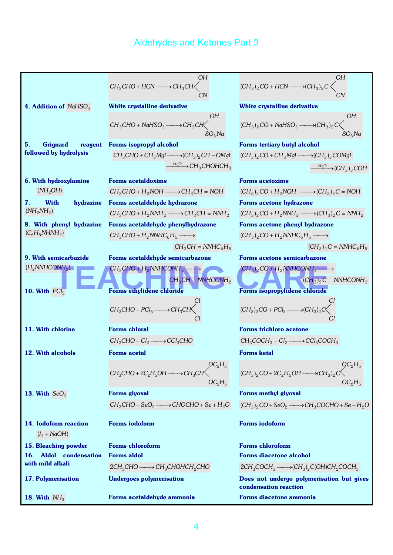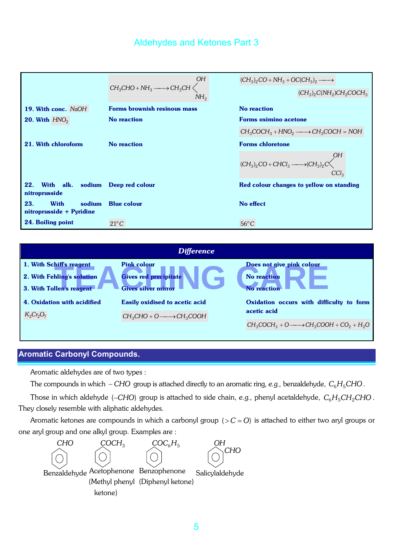|                                                          | ΟH<br>$\text{\rm CH}_{3}\text{\rm CHO} + \text{\rm NH}_{3} \xrightarrow{\hspace*{1.5cm}} \text{\rm CH}_{3}\text{\rm CH} \bigg\langle$<br>NH <sub>2</sub> | $(CH_3)_2CO + NH_3 + OC(CH_3)_2 \longrightarrow$<br>$(CH_3)_2 C(NH_2)CH_2COCH_3$ |
|----------------------------------------------------------|----------------------------------------------------------------------------------------------------------------------------------------------------------|----------------------------------------------------------------------------------|
| 19. With conc. NaOH                                      | <b>Forms brownish resinous mass</b>                                                                                                                      | No reaction                                                                      |
| <b>20. With <math>HNO2</math></b>                        | <b>No reaction</b>                                                                                                                                       | <b>Forms oximino acetone</b>                                                     |
|                                                          |                                                                                                                                                          | $CH_3COCH_3 + HNO_2 \longrightarrow CH_3COCH = NOH$                              |
| 21. With chloroform                                      | No reaction                                                                                                                                              | <b>Forms chloretone</b>                                                          |
|                                                          |                                                                                                                                                          | 0H<br>$(CH_3)_2CO + CHCl_3 \longrightarrow (CH_3)_2C$<br>CCl <sub>3</sub>        |
| 22.<br>With alk. sodium Deep red colour<br>nitroprusside |                                                                                                                                                          | Red colour changes to yellow on standing                                         |
| 23.<br>With<br>sodium<br>nitroprusside + Pyridine        | <b>Blue colour</b>                                                                                                                                       | No effect                                                                        |
| 24. Boiling point                                        | $21^{\circ}C$                                                                                                                                            | $56^{\circ}$ C                                                                   |

| <b>Difference</b>                                                                  |                                                                                  |                                                                       |  |  |
|------------------------------------------------------------------------------------|----------------------------------------------------------------------------------|-----------------------------------------------------------------------|--|--|
| 1. With Schiff's reagent<br>2. With Fehling's solution<br>3. With Tollen's reagent | <b>Pink colour</b><br><b>Gives red precipitate</b><br><b>Gives silver mirror</b> | Does not give pink colour<br><b>No reaction</b><br><b>No reaction</b> |  |  |
| 4. Oxidation with acidified                                                        | <b>Easily oxidised to acetic acid</b>                                            | Oxidation occurs with difficulty to form                              |  |  |
| $K_2Cr_2O_7$                                                                       | $CH_3CHO + O \longrightarrow CH_3COOH$                                           | acetic acid                                                           |  |  |
|                                                                                    |                                                                                  | $CH_3COCH_3 + O \longrightarrow CH_3COOH + CO_2 + H_2O$               |  |  |

# **Aromatic Carbonyl Compounds**.

Aromatic aldehydes are of two types :

The compounds in which − *CHO* group is attached directly to an aromatic ring, e.g., benzaldehyde,  $C_6H_5CHO$ .

Those in which aldehyde (-*CHO*) group is attached to side chain, *e.g.*, phenyl acetaldehyde,  $C_6H_5CH_2CHO$ . They closely resemble with aliphatic aldehydes.

Aromatic ketones are compounds in which a carbonyl group  $(> C = O)$  is attached to either two aryl groups or one aryl group and one alkyl group. Examples are :

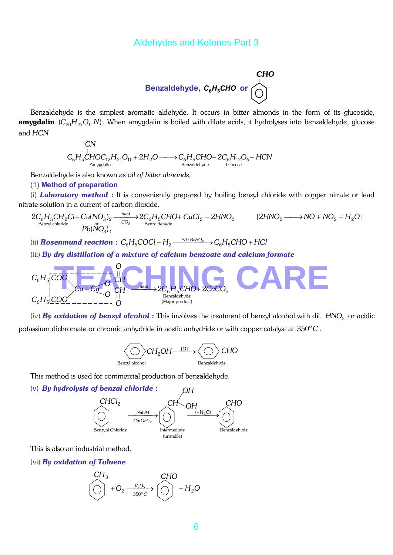**Benzaldehyde, C<sub>6</sub>H<sub>5</sub>CHO or**\n
$$
\bigodot
$$

Benzaldehyde is the simplest aromatic aldehyde. It occurs in bitter almonds in the form of its glucoside, amygdalin (C<sub>20</sub>H<sub>27</sub>O<sub>11</sub>N). When amygdalin is boiled with dilute acids, it hydrolyses into benzaldehyde, glucose and *HCN*

$$
C_{6}H_{5} \overset{\mid}{CHOC_{12}H_{21}O_{10}} + 2H_{2}O \longrightarrow C_{6}H_{5}CHO + 2C_{6}H_{12}O_{6} + HCN
$$
  
\n
$$
\xrightarrow{\text{Anygdalin}}
$$

Benzaldehyde is also known as *oil of bitter almonds.*

#### (1) **Method of preparation**

(i) *Laboratory method* : It is conveniently prepared by boiling benzyl chloride with copper nitrate or lead nitrate solution in a current of carbon dioxide.

$$
2C_6H_5CH_2Cl + Cu(NO_3)_2 \xrightarrow{heat \atop \text{Benzyl chloride}} 2C_6H_5CHO + CuCl_2 + 2HNO_2 \xrightarrow{[2HNO_2 \atop \text{Benzyl chloride}} NO_2 + HO_2 + H_2O
$$

(ii) **Rosenmund reaction** :  $C_6H_5COCl + H_2 \xrightarrow{Pd/BaSO_4} C_6H_5CHO + HCl$ 

(iii) *By dry distillation of a mixture of calcium benzoate and calcium formate*

$$
C_6H_5[COO] \xrightarrow{C_6H_5[COO]} C_6H \xrightarrow{\text{heat}} 2C_6H_5CHO + 2CaCO_3
$$
  
\n
$$
C_6H_5[COO] \xrightarrow{\text{Cq + CQ}} O] \xrightarrow{\text{theat}} O
$$
  
\n
$$
C_6H_5[COO] \xrightarrow{\text{heat}} O
$$

(iv) **By oxidation of benzyl alcohol**: This involves the treatment of benzyl alcohol with dil. *HNO*<sub>3</sub> or acidic potassium dichromate or chromic anhydride in acetic anhydride or with copper catalyst at 350°C.



This method is used for commercial production of benzaldehyde.

(v) *By hydrolysis of benzal chloride* :



This is also an industrial method.

(vi) *By oxidation of Toluene*

CH<sub>3</sub> 
$$
CHO
$$
  

$$
\left(\bigcirc\right)^{+} + O_{2} \xrightarrow[350^{\circ}C]{V_{2}O_{5}} \left(\bigcirc\right)^{+} + H_{2}O
$$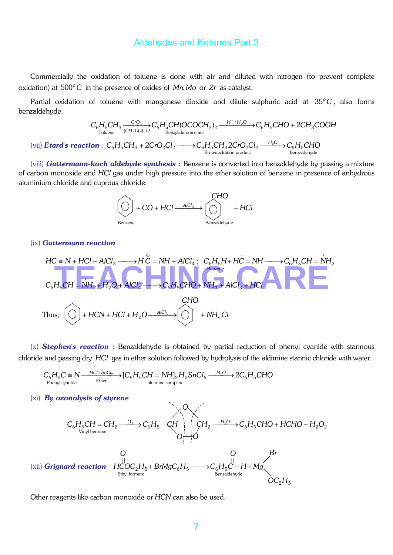Commercially the oxidation of toluene is done with air and diluted with nitrogen (to prevent complete oxidation) at  $500^{\circ}$ C in the presence of oxides of  $Mn$ ,  $M$ o or  $Zr$  as catalyst.

Partial oxidation of toluene with manganese dioxide and dilute sulphuric acid at 35°C, also forms benzaldehyde.

$$
C_6H_5CH_3 \xrightarrow[\text{Coluene}]{\text{CrO}_3} C_6H_5CH(OCOCH_3)_2 \xrightarrow{H^+/H_2O} C_6H_5CHO + 2CH_3COOH
$$

(vii) *Etard's reaction* :  $C_6H_5CH_3 + 2CrO_2Cl_2 \longrightarrow C_6H_5CH_3 2CrO_2Cl_2 \longrightarrow C_6H_5CHO_2$ <br>Brown addition product Benzaldehyde

(viii) *Gattermann-koch aldehyde synthesis* : Benzene is converted into benzaldehyde by passing a mixture of carbon monoxide and *HCl* gas under high pressure into the ether solution of benzene in presence of anhydrous aluminium chloride and cuprous chloride.



#### (ix) *Gattermann reaction*

$$
HC = N + HCl + AICl3 \longrightarrow H \overset{\oplus}{C} = NH + AICl4; \quad C_6H_5H + H \overset{\perp}{C} = NH \longrightarrow C_6H_5CH = NH_2
$$
\n
$$
C_6H_5CH = NH_2 + H_2O + AICl4 \longrightarrow C_6H_5CHO + NH_3 + AICl3 + HCl
$$
\n
$$
CHO
$$
\nThus, \n
$$
[O] + HCN + HCl + H_2O \xrightarrow{AICl_3} [O] + NH_4Cl
$$
\n
$$
+ NH_4Cl
$$

(x) *Stephen's reaction* : Benzaldehyde is obtained by partial reduction of phenyl cyanide with stannous chloride and passing dry *HCl* gas in ether solution followed by hydrolysis of the aldimine stannic chloride with water.

$$
C_6H_5C \equiv N \xrightarrow{\text{HC1/SnCl}_2} [C_6H_5CH = NH]_2H_2SnCl_6 \xrightarrow{\text{H}_2O} 2C_6H_5CHO
$$
  
Phenyl cyanide  
Ether

#### (xi) *By ozonolysis of styrene*



Other reagents like carbon monoxide or *HCN* can also be used.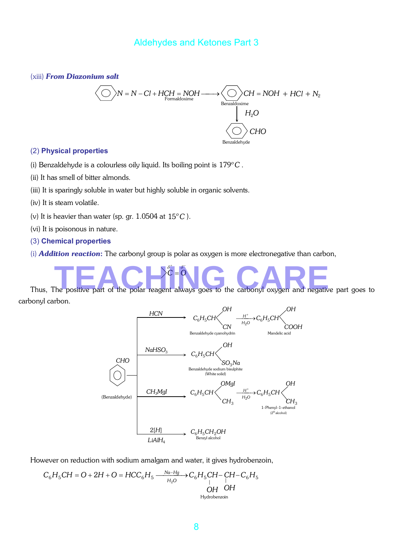(xiii) *From Diazonium salt* 



#### (2) **Physical properties**

- (i) Benzaldehyde is a colourless oily liquid. Its boiling point is  $179^{\circ}$ C.
- (ii) It has smell of bitter almonds.
- (iii) It is sparingly soluble in water but highly soluble in organic solvents.
- (iv) It is steam volatile.
- (v) It is heavier than water (sp. gr.  $1.0504$  at  $15^{\circ}$ C).
- (vi) It is poisonous in nature.
- (3) **Chemical properties**
- (i) *Addition reaction*: The carbonyl group is polar as oxygen is more electronegative than carbon,



carbonyl carbon.



However on reduction with sodium amalgam and water, it gives hydrobenzoin,

$$
C_6H_5CH = O + 2H + O = HCC_6H_5 \xrightarrow{Na-Hg \to C_6H_5CH - CH - C_6H_5} \bigcup_{\substack{|I_2O \text{ by } I_1 \text{ by } I_2 \text{ by } I_3 \text{ by } I_4 \text{ by } I_4 \text{ by } I_5 \text{ by } I_6 \text{ by } I_7 \text{ by } I_7 \text{ by } I_7 \text{ by } I_8 \text{ by } I_7 \text{ by } I_7 \text{ by } I_7 \text{ by } I_7 \text{ by } I_7 \text{ by } I_7 \text{ by } I_7 \text{ by } I_7 \text{ by } I_7 \text{ by } I_7 \text{ by } I_7 \text{ by } I_7 \text{ by } I_7 \text{ by } I_7 \text{ by } I_7 \text{ by } I_7 \text{ by } I_7 \text{ by } I_7 \text{ by } I_7 \text{ by } I_7 \text{ by } I_7 \text{ by } I_7 \text{ by } I_7 \text{ by } I_7 \text{ by } I_7 \text{ by } I_7 \text{ by } I_7 \text{ by } I_7 \text{ by } I_7 \text{ by } I_7 \text{ by } I_7 \text{ by } I_7 \text{ by } I_7 \text{ by } I_7 \text{ by } I_7 \text{ by } I_7 \text{ by } I_7 \text{ by } I_7 \text{ by } I_7 \text{ by } I_7 \text{ by } I_7 \text{ by } I_7 \text{ by } I_7 \text{ by } I_7 \text{ by } I_7 \text{ by } I_7 \text{ by } I_7 \text{ by } I_7 \text{ by } I_7 \text{ by } I_7 \text{ by } I_7 \text{ by } I_7 \text{ by } I_7 \text{ by } I_7 \text{ by } I_7 \text{ by } I_7 \text{ by } I_7 \text{ by } I_7 \text{ by } I_7 \text{ by } I_7 \text{ by } I_7 \text{ by } I_7 \text{ by } I_7 \text{ by } I_7 \text{ by } I_7 \text{ by } I_7 \text{ by } I_7 \text{ by } I_7 \text{ by } I_7 \text{ by } I_7 \text{ by } I_7 \text{ by } I_7 \text{ by } I_7 \text{ by } I_7 \text{ by } I_7 \text{ by } I_7 \text
$$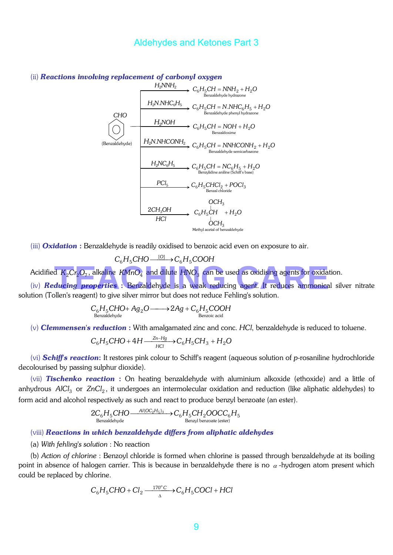

#### (ii) *Reactions involving replacement of carbonyl oxygen*

(iii) *Oxidation* : Benzaldehyde is readily oxidised to benzoic acid even on exposure to air.

 $C_6H_5CHO \xrightarrow{[O]} C_6H_5COOH$ 

Acidified  $K_{2}Cr_{2}O_{7}$ , alkaline  $\mathit{KMnO}_{4}$  and dilute  $\mathit{HNO}_{3}$  can be used as oxidising agents for oxidation.

(iv) *Reducing properties* : Benzaldehyde is a weak reducing agent. It reduces ammonical silver nitrate solution (Tollen's reagent) to give silver mirror but does not reduce Fehling's solution. **TEACH**<sub>2</sub>O<sub>7</sub>, alkaline KMnO<sub>4</sub> and dilute HNO<sub>3</sub> can be used as oxidising agents for oxidation<br>**ducing properties** : Benzaldehyde is a weak reducing agent. It reduces ammonical s

$$
C_6H_5CHO + Ag_2O \longrightarrow 2Ag + C_6H_5COOH
$$
  
Benzaldehyde

(v) *Clemmensen's reduction* : With amalgamated zinc and conc. *HCl*, benzaldehyde is reduced to toluene.

$$
C_6H_5CHO + 4H \xrightarrow[HC]{} C_6H_5CH_3 + H_2O
$$

(vi) *Schiff's reaction*: It restores pink colour to Schiff's reagent (aqueous solution of *p*-rosaniline hydrochloride decolourised by passing sulphur dioxide).

(vii) *Tischenko reaction* : On heating benzaldehyde with aluminium alkoxide (ethoxide) and a little of anhydrous *AlCl*<sub>3</sub> or *ZnCl<sub>2</sub>*, it undergoes an intermolecular oxidation and reduction (like aliphatic aldehydes) to form acid and alcohol respectively as such and react to produce benzyl benzoate (an ester).

$$
2C_6H_5CHO \xrightarrow{\text{Al(OC}_2H_5)_3} C_6H_5CH_2OOCC_6H_5
$$
  
\nBenzaldehyde  
\nBenzyl benzoate (ester)

#### (viii) *Reactions in which benzaldehyde differs from aliphatic aldehydes*

(a) *With fehling's solution* : No reaction

(b) *Action of chlorine* : Benzoyl chloride is formed when chlorine is passed through benzaldehyde at its boiling point in absence of halogen carrier. This is because in benzaldehyde there is no  $\alpha$ -hydrogen atom present which could be replaced by chlorine.

$$
C_6H_5CHO + Cl_2 \xrightarrow{\quad 170^{\circ}C \quad} C_6H_5COCl + HCl
$$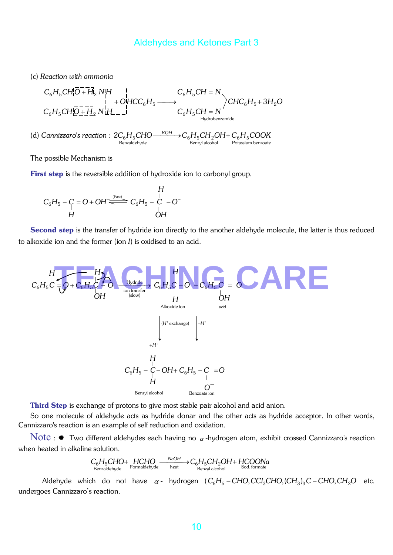(c) *Reaction with ammonia* 

$$
C_6H_5CH_6^1O_7 + H_2N_7H^{-1} \n+ OHCC_6H_5 \longrightarrow C_6H_5CH = N\nC_6H_5CH_6^1 + H_2N_2O
$$
\n
$$
C_6H_5CH_6^1 + H_2N_2H^{-1} \n+ OHCC_6H_5 \longrightarrow C_6H_5CH = N\nHydrobenzamide
$$

(d) *Cannizzaro's reaction* :  $2C_6H_5CHO$ —— $\overline{KOH}$   $\rightarrow$   $C_6H_5CH_2OH + C_6H_5COOK$ <br>Benzaldehyde Benzyl alcohol Potassium benzoate

The possible Mechanism is

First step is the reversible addition of hydroxide ion to carbonyl group.

$$
C_6H_5 - C = O + OH \xrightarrow{\text{(Fast)}} C_6H_5 - C - O^{-1}
$$
  
H

Second step is the transfer of hydride ion directly to the another aldehyde molecule, the latter is thus reduced to alkoxide ion and the former (ion *I*) is oxidised to an acid.



Third Step is exchange of protons to give most stable pair alcohol and acid anion.

So one molecule of aldehyde acts as hydride donar and the other acts as hydride acceptor. In other words, Cannizzaro's reaction is an example of self reduction and oxidation.

Note :  $\ast$  Two different aldehydes each having no  $\alpha$ -hydrogen atom, exhibit crossed Cannizzaro's reaction when heated in alkaline solution.

$$
C_6H_5CHO + HCHO \xrightarrow{\text{NaOH}} C_6H_5CH_2OH + HCOONa
$$
\n
$$
\xrightarrow{\text{Renzaldehyde}} \text{Formaldehyde} \xrightarrow{\text{NaOH}} C_6H_5CH_2OH + HCOONa
$$
\n
$$
\xrightarrow{\text{Benzyl alcohol}} \text{Sol. formate}
$$

Aldehyde which do not have  $\alpha$ - hydrogen  $(C_6H_5 - CHO, CCl_3CHO, (CH_3)_3C - CHO, CH_2O$  etc. undergoes Cannizzaro's reaction.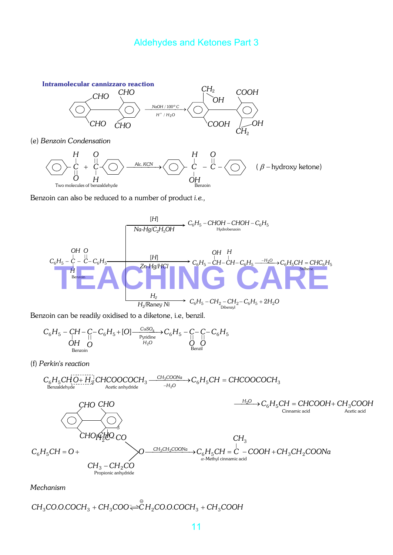

(e) *Benzoin Condensation*



Benzoin can also be reduced to a number of product *i.e.,*



Benzoin can be readily oxidised to a diketone, i.e, benzil.

$$
C_6H_5 - CH - C_6H_5 + [O] \xrightarrow{\text{CuSO}_4} C_6H_5 - C - C - C_6H_5
$$
  
\n
$$
\bigcup_{\text{Benzioni}}^{C} C_6H_5 + [O] \xrightarrow{\text{CuSO}_4} C_6H_5 - C - C - C_6H_5
$$
  
\n
$$
\bigcup_{\text{Benzoli}}^{C} C_6H_5
$$

(f) *Perkin's reaction*

$$
C_6H_5CHO + H_2HCOOCOCCH_3 \xrightarrow{\text{CH}_3COONa} C_6H_5CH = CHCOOCOCCH_3
$$
\n
$$
CHO CHO \xrightarrow{\text{H}_2O} C_6H_5CH = CHCOOCH + CH_3COOH + CH_3COOH
$$
\n
$$
CHO \xrightarrow{\text{H}_2O} C_6H_5CH = CHCOOH + CH_3COOH
$$
\n
$$
CHO \xrightarrow{\text{GUT and real}} C_6H_5CH = O + C_6H_5CH = C_6H_5CH + C_6H_3CH + C_6H_3CH + C_6H_3CH + C_6H_3CH + C_6H_3CH + C_6H_3CH + C_6H_3CH + C_6H_3CH + C_6H_3CH + C_6H_3CH + C_6H_3CH + C_6H_3CH + C_6H_3CH + C_6H_3CH + C_6H_3CH + C_6H_3CH + C_6H_3CH + C_6H_3CH + C_6H_3CH + C_6H_3CH + C_6H_3CH + C_6H_3CH + C_6H_3CH + C_6H_3CH + C_6H_3CH + C_6H_3CH + C_6H_3CH + C_6H_3CH + C_6H_3CH + C_6H_3CH + C_6H_3CH + C_6H_3CH + C_6H_3CH + C_6H_3CH + C_6H_3CH + C_6H_3CH + C_6H_3CH + C_6H_3CH + C_6H_3CH + C_6H_3CH + C_6H_3CH + C_6H_3CH + C_6H_3CH + C_6H_3CH + C_6H_3CH + C_6H_3CH + C_6H_3CH + C_6H_3CH + C_6H_3CH + C_6H_3CH + C_6H_3CH + C_6H_3CH + C_6H_3CH + C_6H_3CH + C_6H_3CH + C_6H_3CH + C_6H_3CH + C_6H_3CH + C_6H_3CH + C_6H_3CH + C_6H_3CH + C_6H_3CH + C_6H_3CH + C_6H_3CH + C_6H_3CH + C_6H_3CH + C_6H_3CH + C_6H_3CH + C_6H_3CH + C_6H_3CH + C_6H_3CH + C_6H_
$$

*Mechanism* 

$$
CH_3CO.O. COCH_3 + CH_3COO \rightleftharpoons CH_2CO.O. COCH_3 + CH_3COOH
$$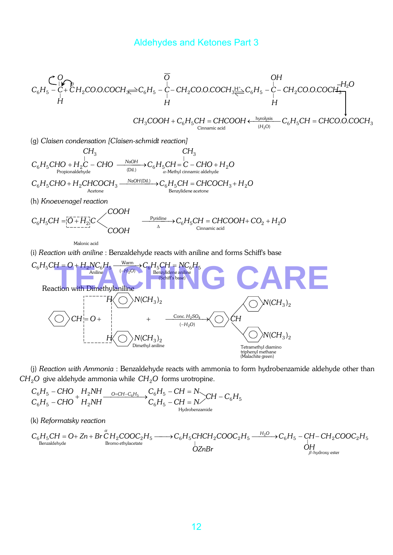$$
C_{6}H_{5}-C_{1}^{O}F_{C}^{O} = 0
$$
\n
$$
C_{6}H_{5}-C_{1}^{O}+CH_{2}CO.O.COCH_{3} \rightleftharpoons C_{6}H_{5}-C_{1}^{O}-CH_{2}CO.O.COCH_{3} \rightleftharpoons C_{6}H_{5}-C_{1}^{O}-CH_{2}CO.O.COCH_{3} \rightleftharpoons C_{1}H_{2}O
$$
\n
$$
H
$$
\n
$$
C_{1}^{O} = COOH + CH_{1}^{O}H_{1}^{O} + CH_{2}^{O}C_{1}^{O} + CH_{3}^{O}C_{1}^{O} + CH_{4}^{O}C_{2}^{O} + CH_{5}^{O}C_{1}^{O} + CH_{5}^{O}C_{2}^{O} + CH_{6}^{O}C_{3}^{O} + CH_{6}^{O}C_{4}^{O} + CH_{7}^{O}C_{5}^{O} + CH_{7}^{O}C_{6}^{O} + CH_{7}^{O}C_{7}^{O} + CH_{7}^{O}C_{7}^{O} + CH_{7}^{O}C_{8}^{O} + CH_{7}^{O}C_{9}^{O} + CH_{7}^{O}C_{9}^{O} + CH_{7}^{O}C_{1}^{O} + CH_{7}^{O}C_{1}^{O} + CH_{7}^{O}C_{1}^{O} + CH_{7}^{O}C_{1}^{O} + CH_{7}^{O}C_{1}^{O} + CH_{7}^{O}C_{1}^{O} + CH_{7}^{O}C_{1}^{O} + CH_{7}^{O}C_{1}^{O} + CH_{7}^{O}C_{1}^{O} + CH_{7}^{O}C_{1}^{O} + CH_{7}^{O}C_{1}^{O} + CH_{7}^{O}C_{1}^{O} + CH_{7}^{O}C_{1}^{O} + CH_{7}^{O}C_{1}^{O} + CH_{7}^{O}C_{1}^{O} + CH_{7}^{O}C_{1}^{O} + CH_{7}^{O}C_{1}^{O} + CH_{7}^{O}C_{1}^{O} + CH_{7}^{O}C_{1}^{O} + CH_{7}^{O}C_{1}^{O} + CH_{7}^{O}C_{1}^{O} + CH_{7}^{O}C_{1}^{O} + CH_{7}^{O}C_{1}^{O} + CH_{7}^{O}C_{1}^{O
$$

$$
CH_3COOH + C_6H_5CH = CHCOOH \xleftarrow{\text{hypothesis}} C_6H_5CH = CHCO.O.COCH_3
$$
  
\n
$$
\xleftarrow{\text{(H}_2O)} C_6H_5CH = CHCO.O.COCH_3
$$

(g) *Claisen condensation [Claisen-schmidt reaction]*

$$
CH_3
$$
  
\n
$$
C_6H_5CHO + H_2C - CHO \xrightarrow{\text{NaOH}} C_6H_5CH = C - CHO + H_2O
$$
  
\n
$$
C_6H_5CHO + H_2CHCOCH_3 \xrightarrow{\text{NaOH(Dil.)}} C_6H_5CH = CHCOCH_3 + H_2O
$$
  
\n
$$
C_6H_5CHO + H_2CHCOCH_3 \xrightarrow{\text{NaOH(Dil.)}} C_6H_5CH = CHCOCH_3 + H_2O
$$
  
\n
$$
C_6H_5CH = [O + H_2]C
$$
  
\n
$$
COOH
$$
  
\n
$$
C_6H_5CH = [O + H_2]C
$$
  
\n
$$
COOH
$$
  
\n
$$
C_6H_5CH = CHCOOH + CO_2 + H_2O
$$
  
\n
$$
C_6H_5CH = CHCOOH + CO_2 + H_2O
$$
  
\n
$$
C_6H_5CH = CHCOOH + CO_2 + H_2O
$$

Malonic acid

(i) *Reaction with aniline* : Benzaldehyde reacts with aniline and forms Schiff's base



(j) *Reaction with Ammonia* : Benzaldehyde reacts with ammonia to form hydrobenzamide aldehyde other than  $CH<sub>2</sub>O$  give aldehyde ammonia while  $CH<sub>2</sub>O$  forms urotropine.

$$
C_6H_5-CHO + H_2NH \xrightarrow{O=CH-C_6H_5} C_6H_5-CH = N \xrightarrow{C_6H_5-CH=C_6H_5} CH - C_6H_5
$$
  

$$
C_6H_5-CH = N \xrightarrow{H_2NH} C_6H_5-CH = N \xrightarrow{H_3drobenzamide}
$$

(k) *Reformatsky reaction* 

$$
C_6H_5CH = O + Zn + Br\overset{\alpha}{C}H_2COOC_2H_5 \xrightarrow{\qquad \qquad } C_6H_5CHCH_2COOC_2H_5 \xrightarrow{\qquad \qquad } C_6H_5-CH-CH_2COOC_2H_5
$$
\n
$$
\overset{\beta}{\underset{\beta \text{enzaldehyde}}{\bigcirc}}
$$
\n
$$
OZnBr
$$
\n
$$
OZnBr
$$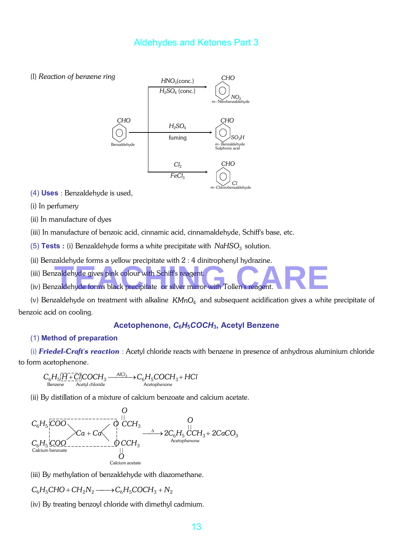



(4) **Uses** : Benzaldehyde is used,

(i) In perfumery

(ii) In manufacture of dyes

(iii) In manufacture of benzoic acid, cinnamic acid, cinnamaldehyde, Schiff's base, etc.

(5) **Tests** : (i) Benzaldehyde forms a white precipitate with *NaHSO*<sub>3</sub> solution.

(ii) Benzaldehyde forms a yellow precipitate with 2 : 4 dinitrophenyl hydrazine.

- (iii) Benzaldehyde gives pink colour with Schiff's reagent.
- (ii) Benzaldehyde gives pink colour with Schiff's reagent.<br>
(iv) Benzaldehyde forms black precipitate or silver mirror with Tollen's reagent.

(v) Benzaldehyde on treatment with alkaline KMnO<sub>4</sub> and subsequent acidification gives a white precipitate of benzoic acid on cooling.

#### **Acetophenone,** *C***6***H***5***COCH***3, Acetyl Benzene**

#### (1) **Method of preparation**

(i) *Friedel-Craft's reaction* : Acetyl chloride reacts with benzene in presence of anhydrous aluminium chloride to form acetophenone.

$$
\underset{\text{Bernzene}}{C_6H_5[\underline{\bar{H}}+\underline{\bar{C}}\bar{l}]\text{COCH}_3} \xrightarrow{A|Cl_3} \underset{\text{Acetophenone}}{\longrightarrow} C_6H_5COCH_3 + HCl
$$

(ii) By distillation of a mixture of calcium benzoate and calcium acetate.



(iii) By methylation of benzaldehyde with diazomethane.

 $C_6H_5CHO + CH_2N_2 \longrightarrow C_6H_5COCH_3 + N_2$ 

(iv) By treating benzoyl chloride with dimethyl cadmium.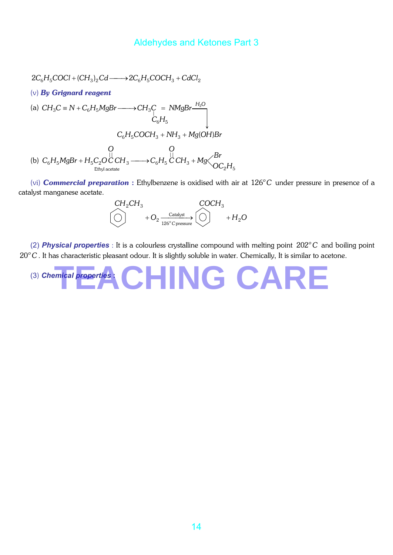$$
2C_6H_5COCl + (CH_3)_2Cd \longrightarrow 2C_6H_5COCH_3 + CdCl_2
$$
  
\n(v) By Grignard reagent  
\n(a)  $CH_3C \equiv N + C_6H_5MgBr \longrightarrow CH_3C = NMgBr \xrightarrow{H_2O} C_6H_5$   
\n $C_6H_5COCH_3 + NH_3 + Mg(OH)Br$   
\n(b)  $C_6H_5MgBr + H_5C_2O\overset{[]}{C}CH_3 \longrightarrow C_6H_5\overset{[]}{C}CH_3 + Mg\overset{Br}{O}CH_3$ 

(vi) **Commercial preparation** : Ethylbenzene is oxidised with air at 126°C under pressure in presence of a catalyst manganese acetate.

$$
\begin{array}{ccc}\nCH_2CH_3 & COCH_3\\
\hline\n\circ & +O_2 \xrightarrow{\text{Catalyst}} & \circlearrowright & +H_2O\n\end{array}
$$

(2) **Physical properties** : It is a colourless crystalline compound with melting point 202<sup>°</sup>C and boiling point 20°C. It has characteristic pleasant odour. It is slightly soluble in water. Chemically, It is similar to acetone.

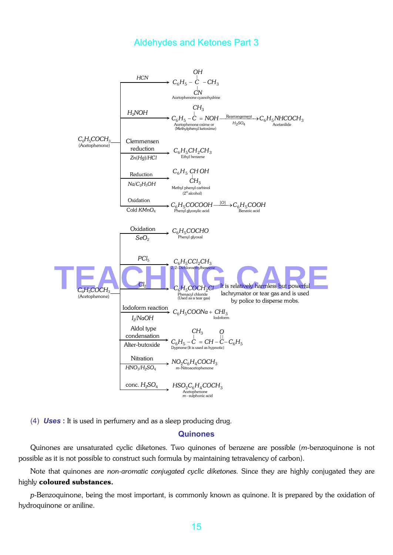

(4) *Uses* **:** It is used in perfumery and as a sleep producing drug.

#### **Quinones**

Quinones are unsaturated cyclic diketones. Two quinones of benzene are possible (*m*-benzoquinone is not possible as it is not possible to construct such formula by maintaining tetravalency of carbon).

Note that quinones are *non-aromatic conjugated cyclic diketones.* Since they are highly conjugated they are highly coloured substances.

*p*-Benzoquinone, being the most important, is commonly known as quinone. It is prepared by the oxidation of hydroquinone or aniline.